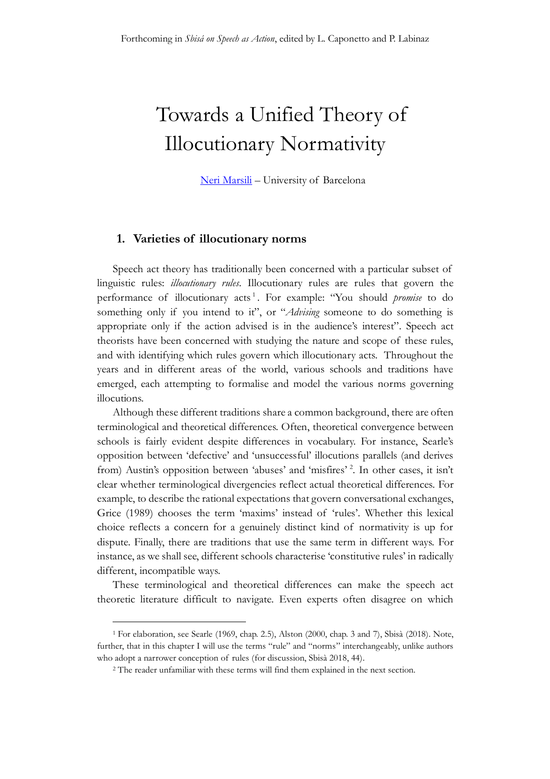# Towards a Unified Theory of Illocutionary Normativity

[Neri Marsili](http://nerimarsili.com/) – University of Barcelona

# **1. Varieties of illocutionary norms**

Speech act theory has traditionally been concerned with a particular subset of linguistic rules: *illocutionary rules*. Illocutionary rules are rules that govern the performance of illocutionary acts 1 . For example: "You should *promise* to do something only if you intend to it", or "*Advising* someone to do something is appropriate only if the action advised is in the audience's interest". Speech act theorists have been concerned with studying the nature and scope of these rules, and with identifying which rules govern which illocutionary acts. Throughout the years and in different areas of the world, various schools and traditions have emerged, each attempting to formalise and model the various norms governing illocutions.

Although these different traditions share a common background, there are often terminological and theoretical differences. Often, theoretical convergence between schools is fairly evident despite differences in vocabulary. For instance, Searle's opposition between 'defective' and 'unsuccessful' illocutions parallels (and derives from) Austin's opposition between 'abuses' and 'misfires' <sup>2</sup>. In other cases, it isn't clear whether terminological divergencies reflect actual theoretical differences. For example, to describe the rational expectations that govern conversational exchanges, Grice (1989) chooses the term 'maxims' instead of 'rules'. Whether this lexical choice reflects a concern for a genuinely distinct kind of normativity is up for dispute. Finally, there are traditions that use the same term in different ways. For instance, as we shall see, different schools characterise 'constitutive rules' in radically different, incompatible ways.

These terminological and theoretical differences can make the speech act theoretic literature difficult to navigate. Even experts often disagree on which

<sup>1</sup> For elaboration, see Searle (1969, chap. 2.5), Alston (2000, chap. 3 and 7), Sbisà (2018). Note, further, that in this chapter I will use the terms "rule" and "norms" interchangeably, unlike authors who adopt a narrower conception of rules (for discussion, Sbisà 2018, 44).

<sup>2</sup> The reader unfamiliar with these terms will find them explained in the next section.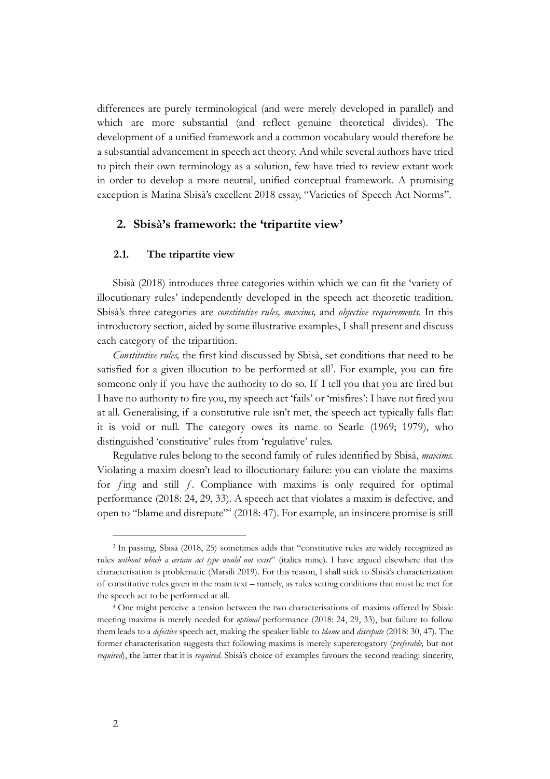differences are purely terminological (and were merely developed in parallel) and which are more substantial (and reflect genuine theoretical divides). The development of a unified framework and a common vocabulary would therefore be a substantial advancement in speech act theory. And while several authors have tried to pitch their own terminology as a solution, few have tried to review extant work in order to develop a more neutral, unified conceptual framework. A promising exception is Marina Sbisà's excellent 2018 essay, "Varieties of Speech Act Norms".

# **2. Sbisà's framework: the 'tripartite view'**

## **2.1. The tripartite view**

Sbisà (2018) introduces three categories within which we can fit the 'variety of illocutionary rules' independently developed in the speech act theoretic tradition. Sbisà's three categories are *constitutive rules, maxims,* and *objective requirements.* In this introductory section, aided by some illustrative examples, I shall present and discuss each category of the tripartition.

*Constitutive rules,* the first kind discussed by Sbisà, set conditions that need to be satisfied for a given illocution to be performed at all<sup>3</sup>. For example, you can fire someone only if you have the authority to do so. If I tell you that you are fired but I have no authority to fire you, my speech act 'fails' or 'misfires': I have not fired you at all. Generalising, if a constitutive rule isn't met, the speech act typically falls flat: it is void or null. The category owes its name to Searle (1969; 1979), who distinguished 'constitutive' rules from 'regulative' rules.

Regulative rules belong to the second family of rules identified by Sbisà, *maxims.*  Violating a maxim doesn't lead to illocutionary failure: you can violate the maxims for  $f$ ing and still  $f$ . Compliance with maxims is only required for optimal performance (2018: 24, 29, 33). A speech act that violates a maxim is defective, and open to "blame and disrepute"<sup>4</sup> (2018: 47). For example, an insincere promise is still

<sup>3</sup> In passing, Sbisà (2018, 25) sometimes adds that "constitutive rules are widely recognized as rules *without which a certain act type would not exist*" (italics mine). I have argued elsewhere that this characterisation is problematic (Marsili 2019). For this reason, I shall stick to Sbisà's characterization of constitutive rules given in the main text – namely, as rules setting conditions that must be met for the speech act to be performed at all.

<sup>4</sup> One might perceive a tension between the two characterisations of maxims offered by Sbisà: meeting maxims is merely needed for *optimal* performance (2018: 24, 29, 33), but failure to follow them leads to a *defective* speech act, making the speaker liable to *blame* and *disrepute* (2018: 30, 47). The former characterisation suggests that following maxims is merely supererogatory (*preferable,* but not *required*), the latter that it is *required.* Sbisà's choice of examples favours the second reading: sincerity,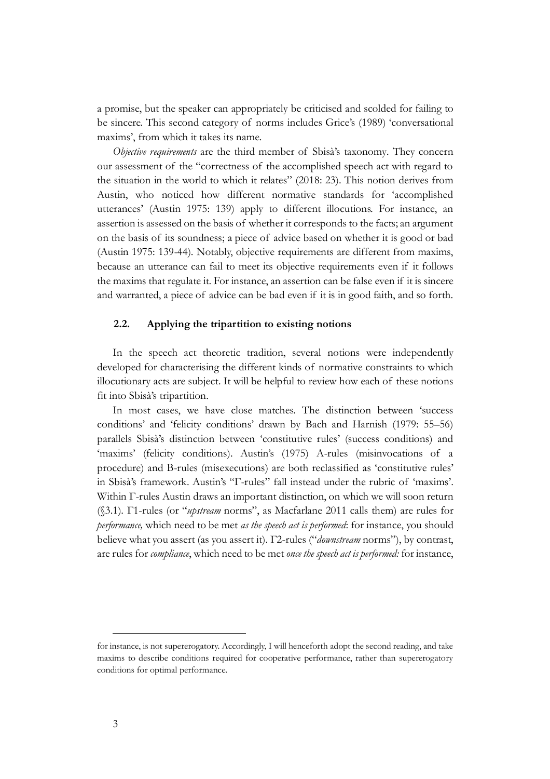a promise, but the speaker can appropriately be criticised and scolded for failing to be sincere. This second category of norms includes Grice's (1989) 'conversational maxims', from which it takes its name.

*Objective requirements* are the third member of Sbisà's taxonomy*.* They concern our assessment of the "correctness of the accomplished speech act with regard to the situation in the world to which it relates" (2018: 23). This notion derives from Austin, who noticed how different normative standards for 'accomplished utterances' (Austin 1975: 139) apply to different illocutions. For instance, an assertion is assessed on the basis of whether it corresponds to the facts; an argument on the basis of its soundness; a piece of advice based on whether it is good or bad (Austin 1975: 139-44). Notably, objective requirements are different from maxims, because an utterance can fail to meet its objective requirements even if it follows the maxims that regulate it. For instance, an assertion can be false even if it is sincere and warranted, a piece of advice can be bad even if it is in good faith, and so forth.

### **2.2. Applying the tripartition to existing notions**

In the speech act theoretic tradition, several notions were independently developed for characterising the different kinds of normative constraints to which illocutionary acts are subject. It will be helpful to review how each of these notions fit into Sbisà's tripartition.

In most cases, we have close matches. The distinction between 'success conditions' and 'felicity conditions' drawn by Bach and Harnish (1979: 55–56) parallels Sbisà's distinction between 'constitutive rules' (success conditions) and 'maxims' (felicity conditions). Austin's (1975) A-rules (misinvocations of a procedure) and B-rules (misexecutions) are both reclassified as 'constitutive rules' in Sbisà's framework. Austin's "Γ-rules" fall instead under the rubric of 'maxims'. Within Γ-rules Austin draws an important distinction, on which we will soon return (§3.1). Γ1-rules (or "*upstream* norms", as Macfarlane 2011 calls them) are rules for *performance,* which need to be met *as the speech act is performed*: for instance, you should believe what you assert (as you assert it). Γ2-rules ("*downstream* norms"), by contrast, are rules for *compliance*, which need to be met *once the speech act is performed:* for instance,

for instance, is not supererogatory. Accordingly, I will henceforth adopt the second reading, and take maxims to describe conditions required for cooperative performance, rather than supererogatory conditions for optimal performance.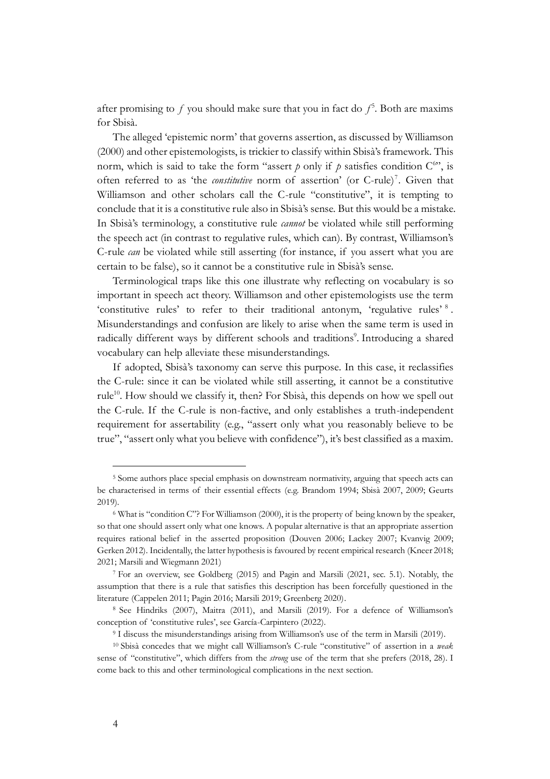after promising to  $f$  you should make sure that you in fact do  $f^5$ . Both are maxims for Sbisà.

The alleged 'epistemic norm' that governs assertion, as discussed by Williamson (2000) and other epistemologists, is trickier to classify within Sbisà's framework. This norm, which is said to take the form "assert  $p$  only if  $p$  satisfies condition  $C^{\omega}$ ", is often referred to as 'the *constitutive* norm of assertion' (or C-rule)<sup>7</sup>. Given that Williamson and other scholars call the C-rule "constitutive", it is tempting to conclude that it is a constitutive rule also in Sbisà's sense. But this would be a mistake. In Sbisà's terminology, a constitutive rule *cannot* be violated while still performing the speech act (in contrast to regulative rules, which can). By contrast, Williamson's C-rule *can* be violated while still asserting (for instance, if you assert what you are certain to be false), so it cannot be a constitutive rule in Sbisà's sense.

Terminological traps like this one illustrate why reflecting on vocabulary is so important in speech act theory. Williamson and other epistemologists use the term 'constitutive rules' to refer to their traditional antonym, 'regulative rules' 8. Misunderstandings and confusion are likely to arise when the same term is used in radically different ways by different schools and traditions<sup>9</sup>. Introducing a shared vocabulary can help alleviate these misunderstandings.

If adopted, Sbisà's taxonomy can serve this purpose. In this case, it reclassifies the C-rule: since it can be violated while still asserting, it cannot be a constitutive rule<sup>10</sup>. How should we classify it, then? For Sbisà, this depends on how we spell out the C-rule. If the C-rule is non-factive, and only establishes a truth-independent requirement for assertability (e.g., "assert only what you reasonably believe to be true", "assert only what you believe with confidence"), it's best classified as a maxim.

<sup>5</sup> Some authors place special emphasis on downstream normativity, arguing that speech acts can be characterised in terms of their essential effects (e.g. Brandom 1994; Sbisà 2007, 2009; Geurts 2019).

<sup>6</sup> What is "condition C"? For Williamson (2000), it is the property of being known by the speaker, so that one should assert only what one knows. A popular alternative is that an appropriate assertion requires rational belief in the asserted proposition (Douven 2006; Lackey 2007; Kvanvig 2009; Gerken 2012). Incidentally, the latter hypothesis is favoured by recent empirical research (Kneer 2018; 2021; Marsili and Wiegmann 2021)

<sup>7</sup> For an overview, see Goldberg (2015) and Pagin and Marsili (2021, sec. 5.1). Notably, the assumption that there is a rule that satisfies this description has been forcefully questioned in the literature (Cappelen 2011; Pagin 2016; Marsili 2019; Greenberg 2020).

<sup>8</sup> See Hindriks (2007), Maitra (2011), and Marsili (2019). For a defence of Williamson's conception of 'constitutive rules', see García-Carpintero (2022).

<sup>9</sup> I discuss the misunderstandings arising from Williamson's use of the term in Marsili (2019).

<sup>10</sup> Sbisà concedes that we might call Williamson's C-rule "constitutive" of assertion in a *weak*  sense of "constitutive", which differs from the *strong* use of the term that she prefers (2018, 28). I come back to this and other terminological complications in the next section.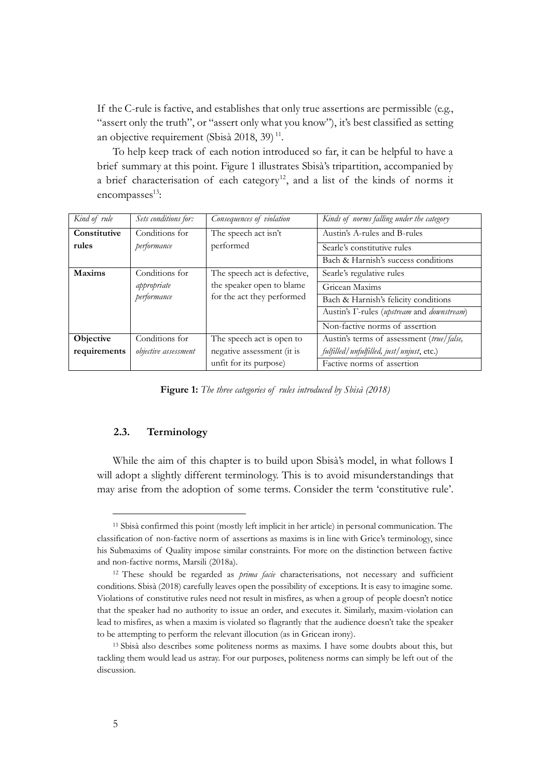If the C-rule is factive, and establishes that only true assertions are permissible (e.g., "assert only the truth", or "assert only what you know"), it's best classified as setting an objective requirement (Sbisà 2018, 39)<sup>11</sup>.

To help keep track of each notion introduced so far, it can be helpful to have a brief summary at this point. Figure 1 illustrates Sbisà's tripartition, accompanied by a brief characterisation of each category<sup>12</sup>, and a list of the kinds of norms it encompasses<sup>13</sup>:

| Kind of rule  | Sets conditions for: | Consequences of violation    | Kinds of norms falling under the category                          |
|---------------|----------------------|------------------------------|--------------------------------------------------------------------|
| Constitutive  | Conditions for       | The speech act isn't         | Austin's A-rules and B-rules                                       |
| rules         | performance          | performed                    | Searle's constitutive rules                                        |
|               |                      |                              | Bach & Harnish's success conditions                                |
| <b>Maxims</b> | Conditions for       | The speech act is defective, | Searle's regulative rules                                          |
|               | appropriate          | the speaker open to blame    | Gricean Maxims                                                     |
|               | performance          | for the act they performed   | Bach & Harnish's felicity conditions                               |
|               |                      |                              | Austin's <i>T</i> -rules ( <i>upstream</i> and <i>downstream</i> ) |
|               |                      |                              | Non-factive norms of assertion                                     |
| Objective     | Conditions for       | The speech act is open to    | Austin's terms of assessment (true/false,                          |
| requirements  | objective assessment | negative assessment (it is   | fulfilled/unfulfilled, just/unjust, etc.)                          |
|               |                      | unfit for its purpose)       | Factive norms of assertion                                         |

**Figure 1:** *The three categories of rules introduced by Sbisà (2018)*

# **2.3. Terminology**

While the aim of this chapter is to build upon Sbisà's model, in what follows I will adopt a slightly different terminology. This is to avoid misunderstandings that may arise from the adoption of some terms. Consider the term 'constitutive rule'.

<sup>11</sup> Sbisà confirmed this point (mostly left implicit in her article) in personal communication. The classification of non-factive norm of assertions as maxims is in line with Grice's terminology, since his Submaxims of Quality impose similar constraints. For more on the distinction between factive and non-factive norms, Marsili (2018a).

<sup>12</sup> These should be regarded as *prima facie* characterisations, not necessary and sufficient conditions. Sbisà (2018) carefully leaves open the possibility of exceptions. It is easy to imagine some. Violations of constitutive rules need not result in misfires, as when a group of people doesn't notice that the speaker had no authority to issue an order, and executes it. Similarly, maxim-violation can lead to misfires, as when a maxim is violated so flagrantly that the audience doesn't take the speaker to be attempting to perform the relevant illocution (as in Gricean irony).

<sup>13</sup> Sbisà also describes some politeness norms as maxims. I have some doubts about this, but tackling them would lead us astray. For our purposes, politeness norms can simply be left out of the discussion.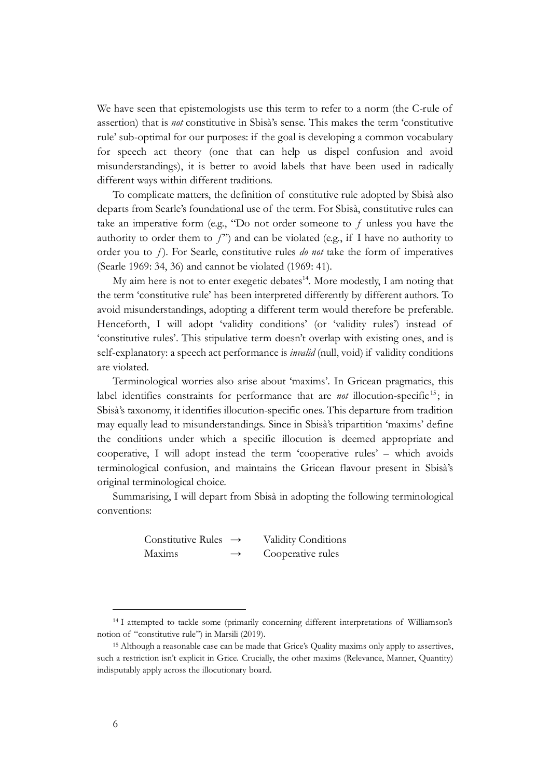We have seen that epistemologists use this term to refer to a norm (the C-rule of assertion) that is *not* constitutive in Sbisà's sense. This makes the term 'constitutive rule' sub-optimal for our purposes: if the goal is developing a common vocabulary for speech act theory (one that can help us dispel confusion and avoid misunderstandings), it is better to avoid labels that have been used in radically different ways within different traditions.

To complicate matters, the definition of constitutive rule adopted by Sbisà also departs from Searle's foundational use of the term. For Sbisà, constitutive rules can take an imperative form (e.g., "Do not order someone to  $f$  unless you have the authority to order them to  $f$ ") and can be violated (e.g., if I have no authority to order you to ƒ). For Searle, constitutive rules *do not* take the form of imperatives (Searle 1969: 34, 36) and cannot be violated (1969: 41).

My aim here is not to enter exegetic debates<sup>14</sup>. More modestly, I am noting that the term 'constitutive rule' has been interpreted differently by different authors. To avoid misunderstandings, adopting a different term would therefore be preferable. Henceforth, I will adopt 'validity conditions' (or 'validity rules') instead of 'constitutive rules'. This stipulative term doesn't overlap with existing ones, and is self-explanatory: a speech act performance is *invalid* (null, void) if validity conditions are violated.

Terminological worries also arise about 'maxims'. In Gricean pragmatics, this label identifies constraints for performance that are *not* illocution-specific<sup>15</sup>; in Sbisà's taxonomy, it identifies illocution-specific ones. This departure from tradition may equally lead to misunderstandings. Since in Sbisà's tripartition 'maxims' define the conditions under which a specific illocution is deemed appropriate and cooperative, I will adopt instead the term 'cooperative rules' – which avoids terminological confusion, and maintains the Gricean flavour present in Sbisà's original terminological choice.

Summarising, I will depart from Sbisà in adopting the following terminological conventions:

> Constitutive Rules  $\rightarrow$  Validity Conditions Maxims  $\rightarrow$  Cooperative rules

<sup>&</sup>lt;sup>14</sup> I attempted to tackle some (primarily concerning different interpretations of Williamson's notion of "constitutive rule") in Marsili (2019).

<sup>&</sup>lt;sup>15</sup> Although a reasonable case can be made that Grice's Quality maxims only apply to assertives, such a restriction isn't explicit in Grice. Crucially, the other maxims (Relevance, Manner, Quantity) indisputably apply across the illocutionary board.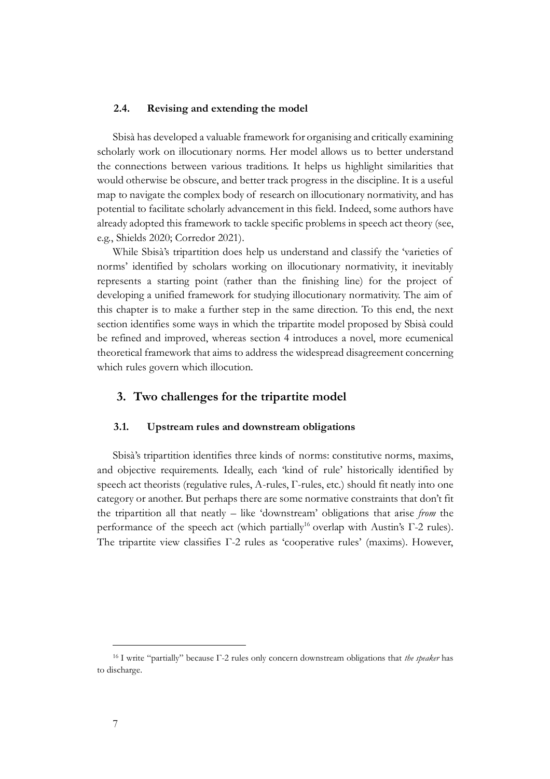## **2.4. Revising and extending the model**

Sbisà has developed a valuable framework for organising and critically examining scholarly work on illocutionary norms. Her model allows us to better understand the connections between various traditions. It helps us highlight similarities that would otherwise be obscure, and better track progress in the discipline. It is a useful map to navigate the complex body of research on illocutionary normativity, and has potential to facilitate scholarly advancement in this field. Indeed, some authors have already adopted this framework to tackle specific problems in speech act theory (see, e.g., Shields 2020; Corredor 2021).

While Sbisà's tripartition does help us understand and classify the 'varieties of norms' identified by scholars working on illocutionary normativity, it inevitably represents a starting point (rather than the finishing line) for the project of developing a unified framework for studying illocutionary normativity. The aim of this chapter is to make a further step in the same direction. To this end, the next section identifies some ways in which the tripartite model proposed by Sbisà could be refined and improved, whereas section 4 introduces a novel, more ecumenical theoretical framework that aims to address the widespread disagreement concerning which rules govern which illocution.

## **3. Two challenges for the tripartite model**

#### **3.1. Upstream rules and downstream obligations**

Sbisà's tripartition identifies three kinds of norms: constitutive norms, maxims, and objective requirements. Ideally, each 'kind of rule' historically identified by speech act theorists (regulative rules, A-rules, Γ-rules, etc.) should fit neatly into one category or another. But perhaps there are some normative constraints that don't fit the tripartition all that neatly – like 'downstream' obligations that arise *from* the performance of the speech act (which partially<sup>16</sup> overlap with Austin's Γ-2 rules). The tripartite view classifies Γ-2 rules as 'cooperative rules' (maxims). However,

<sup>16</sup> I write "partially" because Γ-2 rules only concern downstream obligations that *the speaker* has to discharge.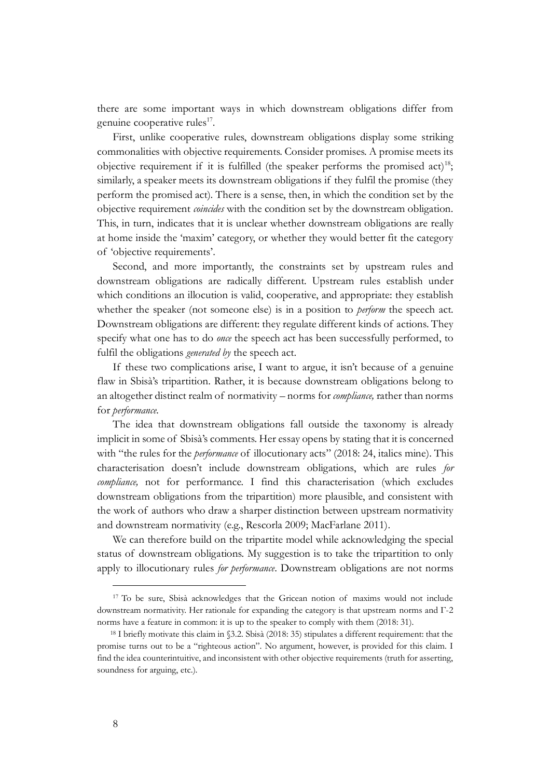there are some important ways in which downstream obligations differ from genuine cooperative rules<sup>17</sup>.

First, unlike cooperative rules, downstream obligations display some striking commonalities with objective requirements. Consider promises. A promise meets its objective requirement if it is fulfilled (the speaker performs the promised act)<sup>18</sup>; similarly, a speaker meets its downstream obligations if they fulfil the promise (they perform the promised act). There is a sense, then, in which the condition set by the objective requirement *coincides* with the condition set by the downstream obligation. This, in turn, indicates that it is unclear whether downstream obligations are really at home inside the 'maxim' category, or whether they would better fit the category of 'objective requirements'.

Second, and more importantly, the constraints set by upstream rules and downstream obligations are radically different. Upstream rules establish under which conditions an illocution is valid, cooperative, and appropriate: they establish whether the speaker (not someone else) is in a position to *perform* the speech act. Downstream obligations are different: they regulate different kinds of actions. They specify what one has to do *once* the speech act has been successfully performed, to fulfil the obligations *generated by* the speech act.

If these two complications arise, I want to argue, it isn't because of a genuine flaw in Sbisà's tripartition. Rather, it is because downstream obligations belong to an altogether distinct realm of normativity – norms for *compliance,* rather than norms for *performance.*

The idea that downstream obligations fall outside the taxonomy is already implicit in some of Sbisà's comments. Her essay opens by stating that it is concerned with "the rules for the *performance* of illocutionary acts" (2018: 24, italics mine). This characterisation doesn't include downstream obligations, which are rules *for compliance,* not for performance. I find this characterisation (which excludes downstream obligations from the tripartition) more plausible, and consistent with the work of authors who draw a sharper distinction between upstream normativity and downstream normativity (e.g., Rescorla 2009; MacFarlane 2011).

We can therefore build on the tripartite model while acknowledging the special status of downstream obligations. My suggestion is to take the tripartition to only apply to illocutionary rules *for performance*. Downstream obligations are not norms

<sup>&</sup>lt;sup>17</sup> To be sure, Sbisà acknowledges that the Gricean notion of maxims would not include downstream normativity. Her rationale for expanding the category is that upstream norms and Γ-2 norms have a feature in common: it is up to the speaker to comply with them (2018: 31).

<sup>18</sup> I briefly motivate this claim in §3.2. Sbisà (2018: 35) stipulates a different requirement: that the promise turns out to be a "righteous action". No argument, however, is provided for this claim. I find the idea counterintuitive, and inconsistent with other objective requirements (truth for asserting, soundness for arguing, etc.).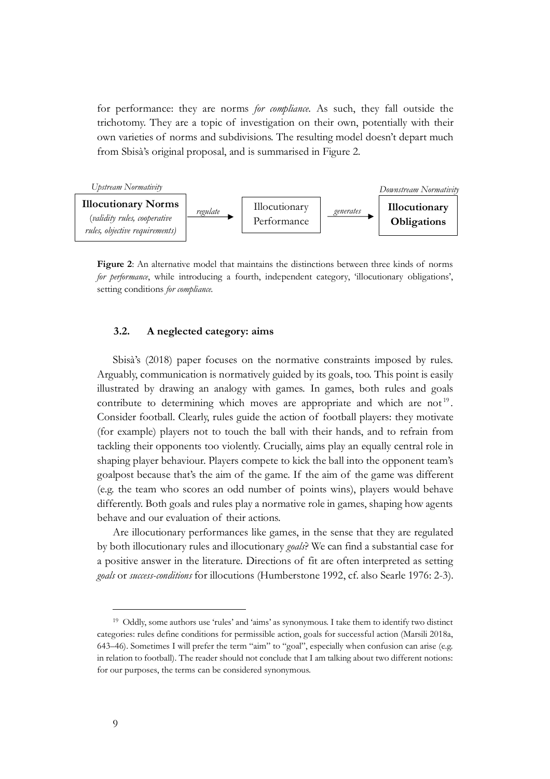for performance: they are norms *for compliance*. As such, they fall outside the trichotomy. They are a topic of investigation on their own, potentially with their own varieties of norms and subdivisions. The resulting model doesn't depart much from Sbisà's original proposal, and is summarised in Figure 2.



**Figure 2**: An alternative model that maintains the distinctions between three kinds of norms *for performance*, while introducing a fourth, independent category, 'illocutionary obligations', setting conditions *for compliance.*

# **3.2. A neglected category: aims**

Sbisà's (2018) paper focuses on the normative constraints imposed by rules. Arguably, communication is normatively guided by its goals, too. This point is easily illustrated by drawing an analogy with games. In games, both rules and goals contribute to determining which moves are appropriate and which are not<sup>19</sup>. Consider football. Clearly, rules guide the action of football players: they motivate (for example) players not to touch the ball with their hands, and to refrain from tackling their opponents too violently. Crucially, aims play an equally central role in shaping player behaviour. Players compete to kick the ball into the opponent team's goalpost because that's the aim of the game. If the aim of the game was different (e.g. the team who scores an odd number of points wins), players would behave differently. Both goals and rules play a normative role in games, shaping how agents behave and our evaluation of their actions.

Are illocutionary performances like games, in the sense that they are regulated by both illocutionary rules and illocutionary *goals*? We can find a substantial case for a positive answer in the literature. Directions of fit are often interpreted as setting *goals* or *success-conditions* for illocutions (Humberstone 1992, cf. also Searle 1976: 2-3).

<sup>19</sup> Oddly, some authors use 'rules' and 'aims' as synonymous. I take them to identify two distinct categories: rules define conditions for permissible action, goals for successful action (Marsili 2018a, 643–46). Sometimes I will prefer the term "aim" to "goal", especially when confusion can arise (e.g. in relation to football). The reader should not conclude that I am talking about two different notions: for our purposes, the terms can be considered synonymous.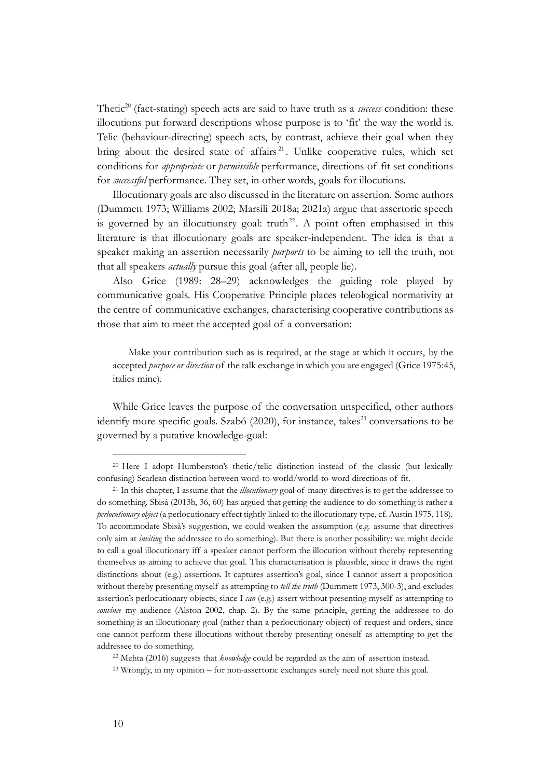Thetic<sup>20</sup> (fact-stating) speech acts are said to have truth as a *success* condition: these illocutions put forward descriptions whose purpose is to 'fit' the way the world is. Telic (behaviour-directing) speech acts, by contrast, achieve their goal when they bring about the desired state of affairs<sup>21</sup>. Unlike cooperative rules, which set conditions for *appropriate* or *permissible* performance, directions of fit set conditions for *successful* performance. They set, in other words, goals for illocutions.

Illocutionary goals are also discussed in the literature on assertion. Some authors (Dummett 1973; Williams 2002; Marsili 2018a; 2021a) argue that assertoric speech is governed by an illocutionary goal: truth<sup>22</sup>. A point often emphasised in this literature is that illocutionary goals are speaker-independent. The idea is that a speaker making an assertion necessarily *purports* to be aiming to tell the truth, not that all speakers *actually* pursue this goal (after all, people lie).

Also Grice (1989: 28–29) acknowledges the guiding role played by communicative goals. His Cooperative Principle places teleological normativity at the centre of communicative exchanges, characterising cooperative contributions as those that aim to meet the accepted goal of a conversation:

Make your contribution such as is required, at the stage at which it occurs, by the accepted *purpose or direction* of the talk exchange in which you are engaged (Grice 1975:45, italics mine).

While Grice leaves the purpose of the conversation unspecified, other authors identify more specific goals. Szabó  $(2020)$ , for instance, takes<sup>23</sup> conversations to be governed by a putative knowledge-goal:

<sup>22</sup> Mehta (2016) suggests that *knowledge* could be regarded as the aim of assertion instead.

<sup>23</sup> Wrongly, in my opinion – for non-assertoric exchanges surely need not share this goal.

<sup>&</sup>lt;sup>20</sup> Here I adopt Humberston's thetic/telic distinction instead of the classic (but lexically confusing) Searlean distinction between word-to-world/world-to-word directions of fit.

<sup>21</sup> In this chapter, I assume that the *illocutionary* goal of many directives is to get the addressee to do something. Sbisá (2013b, 36, 60) has argued that getting the audience to do something is rather a *perlocutionary object* (a perlocutionary effect tightly linked to the illocutionary type, cf. Austin 1975, 118). To accommodate Sbisà's suggestion, we could weaken the assumption (e.g. assume that directives only aim at *inviting* the addressee to do something). But there is another possibility: we might decide to call a goal illocutionary iff a speaker cannot perform the illocution without thereby representing themselves as aiming to achieve that goal. This characterisation is plausible, since it draws the right distinctions about (e.g.) assertions. It captures assertion's goal, since I cannot assert a proposition without thereby presenting myself as attempting to *tell the truth* (Dummett 1973, 300-3), and excludes assertion's perlocutionary objects, since I *can* (e.g.) assert without presenting myself as attempting to *convince* my audience (Alston 2002, chap. 2). By the same principle, getting the addressee to do something is an illocutionary goal (rather than a perlocutionary object) of request and orders, since one cannot perform these illocutions without thereby presenting oneself as attempting to get the addressee to do something.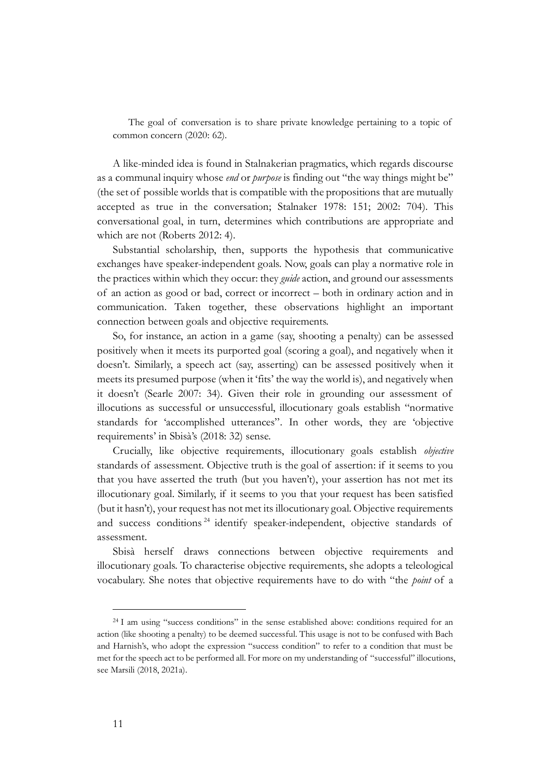The goal of conversation is to share private knowledge pertaining to a topic of common concern (2020: 62).

A like-minded idea is found in Stalnakerian pragmatics, which regards discourse as a communal inquiry whose *end* or *purpose* is finding out "the way things might be" (the set of possible worlds that is compatible with the propositions that are mutually accepted as true in the conversation; Stalnaker 1978: 151; 2002: 704). This conversational goal, in turn, determines which contributions are appropriate and which are not (Roberts 2012: 4).

Substantial scholarship, then, supports the hypothesis that communicative exchanges have speaker-independent goals. Now, goals can play a normative role in the practices within which they occur: they *guide* action, and ground our assessments of an action as good or bad, correct or incorrect – both in ordinary action and in communication. Taken together, these observations highlight an important connection between goals and objective requirements.

So, for instance, an action in a game (say, shooting a penalty) can be assessed positively when it meets its purported goal (scoring a goal), and negatively when it doesn't. Similarly, a speech act (say, asserting) can be assessed positively when it meets its presumed purpose (when it 'fits' the way the world is), and negatively when it doesn't (Searle 2007: 34). Given their role in grounding our assessment of illocutions as successful or unsuccessful, illocutionary goals establish "normative standards for 'accomplished utterances". In other words, they are 'objective requirements' in Sbisà's (2018: 32) sense.

Crucially, like objective requirements, illocutionary goals establish *objective*  standards of assessment. Objective truth is the goal of assertion: if it seems to you that you have asserted the truth (but you haven't), your assertion has not met its illocutionary goal. Similarly, if it seems to you that your request has been satisfied (but it hasn't), your request has not met its illocutionary goal. Objective requirements and success conditions<sup>24</sup> identify speaker-independent, objective standards of assessment.

Sbisà herself draws connections between objective requirements and illocutionary goals. To characterise objective requirements, she adopts a teleological vocabulary. She notes that objective requirements have to do with "the *point* of a

<sup>&</sup>lt;sup>24</sup> I am using "success conditions" in the sense established above: conditions required for an action (like shooting a penalty) to be deemed successful. This usage is not to be confused with Bach and Harnish's, who adopt the expression "success condition" to refer to a condition that must be met for the speech act to be performed all. For more on my understanding of "successful" illocutions, see Marsili (2018, 2021a).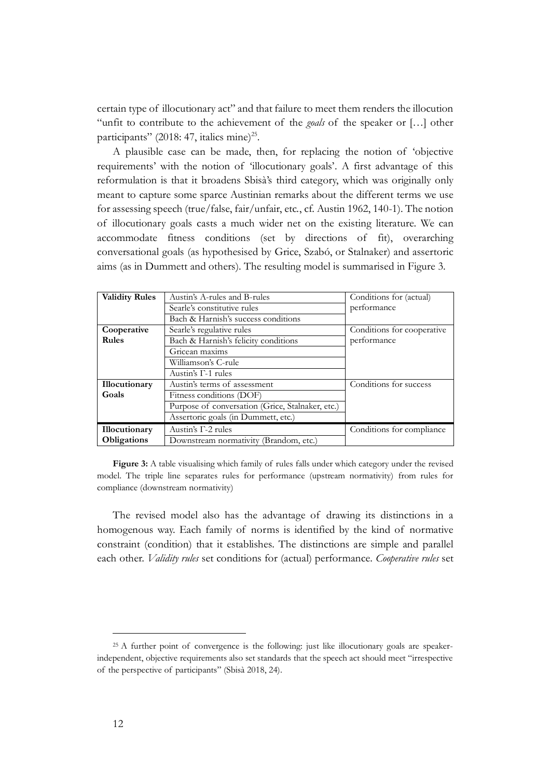certain type of illocutionary act" and that failure to meet them renders the illocution "unfit to contribute to the achievement of the *goals* of the speaker or […] other participants" (2018: 47, italics mine)<sup>25</sup>.

A plausible case can be made, then, for replacing the notion of 'objective requirements' with the notion of 'illocutionary goals'. A first advantage of this reformulation is that it broadens Sbisà's third category, which was originally only meant to capture some sparce Austinian remarks about the different terms we use for assessing speech (true/false, fair/unfair, etc., cf. Austin 1962, 140-1). The notion of illocutionary goals casts a much wider net on the existing literature. We can accommodate fitness conditions (set by directions of fit), overarching conversational goals (as hypothesised by Grice, Szabó, or Stalnaker) and assertoric aims (as in Dummett and others). The resulting model is summarised in Figure 3.

| <b>Validity Rules</b>                                 | Austin's A-rules and B-rules                     | Conditions for (actual)    |
|-------------------------------------------------------|--------------------------------------------------|----------------------------|
|                                                       | Searle's constitutive rules                      | performance                |
|                                                       | Bach & Harnish's success conditions              |                            |
| Cooperative                                           | Searle's regulative rules                        | Conditions for cooperative |
| Rules                                                 | Bach & Harnish's felicity conditions             | performance                |
|                                                       | Gricean maxims                                   |                            |
|                                                       | Williamson's C-rule                              |                            |
|                                                       | Austin's $\Gamma$ -1 rules                       |                            |
| <b>Illocutionary</b>                                  | Austin's terms of assessment                     | Conditions for success     |
| Goals                                                 | Fitness conditions (DOF)                         |                            |
|                                                       | Purpose of conversation (Grice, Stalnaker, etc.) |                            |
|                                                       | Assertoric goals (in Dummett, etc.)              |                            |
| Illocutionary                                         | Austin's $\Gamma$ -2 rules                       | Conditions for compliance  |
| Downstream normativity (Brandom, etc.)<br>Obligations |                                                  |                            |

Figure 3: A table visualising which family of rules falls under which category under the revised model. The triple line separates rules for performance (upstream normativity) from rules for compliance (downstream normativity)

The revised model also has the advantage of drawing its distinctions in a homogenous way. Each family of norms is identified by the kind of normative constraint (condition) that it establishes. The distinctions are simple and parallel each other. *Validity rules* set conditions for (actual) performance. *Cooperative rules* set

<sup>&</sup>lt;sup>25</sup> A further point of convergence is the following: just like illocutionary goals are speakerindependent, objective requirements also set standards that the speech act should meet "irrespective of the perspective of participants" (Sbisà 2018, 24).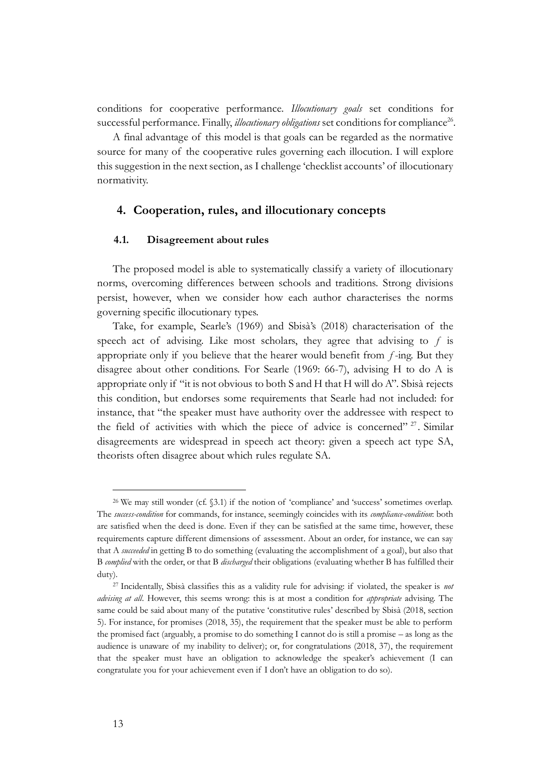conditions for cooperative performance. *Illocutionary goals* set conditions for successful performance. Finally, *illocutionary obligations* set conditions for compliance<sup>26</sup>.

A final advantage of this model is that goals can be regarded as the normative source for many of the cooperative rules governing each illocution. I will explore this suggestion in the next section, as I challenge 'checklist accounts' of illocutionary normativity.

# **4. Cooperation, rules, and illocutionary concepts**

## **4.1. Disagreement about rules**

The proposed model is able to systematically classify a variety of illocutionary norms, overcoming differences between schools and traditions. Strong divisions persist, however, when we consider how each author characterises the norms governing specific illocutionary types.

Take, for example, Searle's (1969) and Sbisà's (2018) characterisation of the speech act of advising. Like most scholars, they agree that advising to  $f$  is appropriate only if you believe that the hearer would benefit from  $f$ -ing. But they disagree about other conditions. For Searle (1969: 66-7), advising H to do A is appropriate only if "it is not obvious to both S and H that H will do A". Sbisà rejects this condition, but endorses some requirements that Searle had not included: for instance, that "the speaker must have authority over the addressee with respect to the field of activities with which the piece of advice is concerned"<sup>27</sup>. Similar disagreements are widespread in speech act theory: given a speech act type SA, theorists often disagree about which rules regulate SA.

<sup>26</sup> We may still wonder (cf. §3.1) if the notion of 'compliance' and 'success' sometimes overlap. The *success-condition* for commands, for instance, seemingly coincides with its *compliance-condition*: both are satisfied when the deed is done. Even if they can be satisfied at the same time, however, these requirements capture different dimensions of assessment. About an order, for instance, we can say that A *succeeded* in getting B to do something (evaluating the accomplishment of a goal), but also that B *complied* with the order, or that B *discharged* their obligations (evaluating whether B has fulfilled their duty).

<sup>27</sup> Incidentally, Sbisà classifies this as a validity rule for advising: if violated, the speaker is *not advising at all*. However, this seems wrong: this is at most a condition for *appropriate* advising. The same could be said about many of the putative 'constitutive rules' described by Sbisà (2018, section 5). For instance, for promises (2018, 35), the requirement that the speaker must be able to perform the promised fact (arguably, a promise to do something I cannot do is still a promise – as long as the audience is unaware of my inability to deliver); or, for congratulations (2018, 37), the requirement that the speaker must have an obligation to acknowledge the speaker's achievement (I can congratulate you for your achievement even if I don't have an obligation to do so).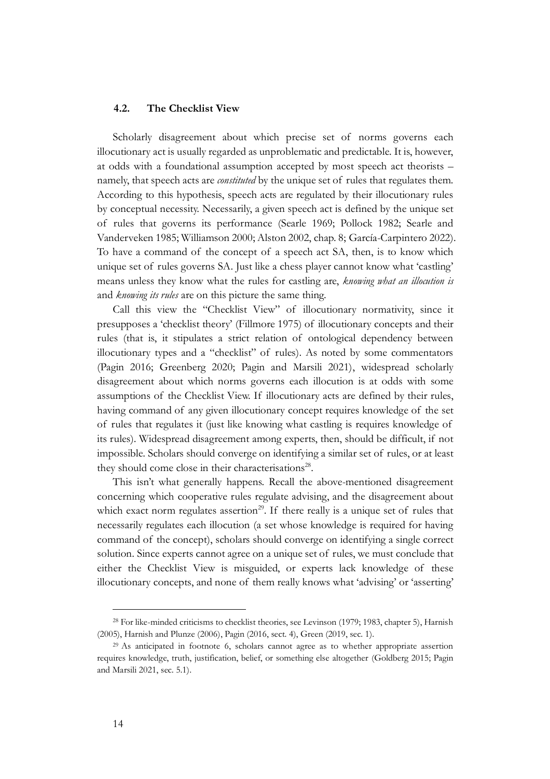## **4.2. The Checklist View**

Scholarly disagreement about which precise set of norms governs each illocutionary act is usually regarded as unproblematic and predictable. It is, however, at odds with a foundational assumption accepted by most speech act theorists – namely, that speech acts are *constituted* by the unique set of rules that regulates them. According to this hypothesis, speech acts are regulated by their illocutionary rules by conceptual necessity. Necessarily, a given speech act is defined by the unique set of rules that governs its performance (Searle 1969; Pollock 1982; Searle and Vanderveken 1985; Williamson 2000; Alston 2002, chap. 8; García-Carpintero 2022). To have a command of the concept of a speech act SA, then, is to know which unique set of rules governs SA. Just like a chess player cannot know what 'castling' means unless they know what the rules for castling are, *knowing what an illocution is* and *knowing its rules* are on this picture the same thing.

Call this view the "Checklist View" of illocutionary normativity, since it presupposes a 'checklist theory' (Fillmore 1975) of illocutionary concepts and their rules (that is, it stipulates a strict relation of ontological dependency between illocutionary types and a "checklist" of rules). As noted by some commentators (Pagin 2016; Greenberg 2020; Pagin and Marsili 2021), widespread scholarly disagreement about which norms governs each illocution is at odds with some assumptions of the Checklist View. If illocutionary acts are defined by their rules, having command of any given illocutionary concept requires knowledge of the set of rules that regulates it (just like knowing what castling is requires knowledge of its rules). Widespread disagreement among experts, then, should be difficult, if not impossible. Scholars should converge on identifying a similar set of rules, or at least they should come close in their characterisations<sup>28</sup>.

This isn't what generally happens. Recall the above-mentioned disagreement concerning which cooperative rules regulate advising, and the disagreement about which exact norm regulates assertion<sup>29</sup>. If there really is a unique set of rules that necessarily regulates each illocution (a set whose knowledge is required for having command of the concept), scholars should converge on identifying a single correct solution. Since experts cannot agree on a unique set of rules, we must conclude that either the Checklist View is misguided, or experts lack knowledge of these illocutionary concepts, and none of them really knows what 'advising' or 'asserting'

<sup>28</sup> For like-minded criticisms to checklist theories, see Levinson (1979; 1983, chapter 5), Harnish (2005), Harnish and Plunze (2006), Pagin (2016, sect. 4), Green (2019, sec. 1).

<sup>29</sup> As anticipated in footnote 6, scholars cannot agree as to whether appropriate assertion requires knowledge, truth, justification, belief, or something else altogether (Goldberg 2015; Pagin and Marsili 2021, sec. 5.1).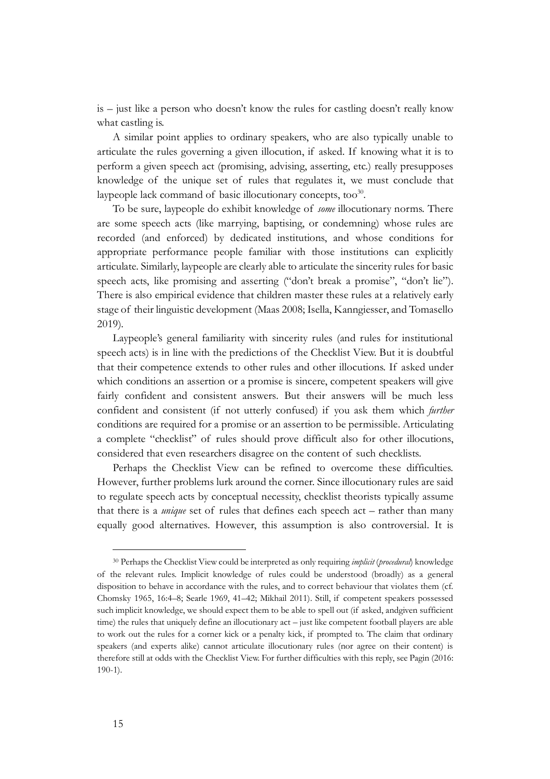is – just like a person who doesn't know the rules for castling doesn't really know what castling is.

A similar point applies to ordinary speakers, who are also typically unable to articulate the rules governing a given illocution, if asked. If knowing what it is to perform a given speech act (promising, advising, asserting, etc.) really presupposes knowledge of the unique set of rules that regulates it, we must conclude that laypeople lack command of basic illocutionary concepts, too<sup>30</sup>.

To be sure, laypeople do exhibit knowledge of *some* illocutionary norms. There are some speech acts (like marrying, baptising, or condemning) whose rules are recorded (and enforced) by dedicated institutions, and whose conditions for appropriate performance people familiar with those institutions can explicitly articulate. Similarly, laypeople are clearly able to articulate the sincerity rules for basic speech acts, like promising and asserting ("don't break a promise", "don't lie"). There is also empirical evidence that children master these rules at a relatively early stage of their linguistic development (Maas 2008; Isella, Kanngiesser, and Tomasello 2019).

Laypeople's general familiarity with sincerity rules (and rules for institutional speech acts) is in line with the predictions of the Checklist View. But it is doubtful that their competence extends to other rules and other illocutions. If asked under which conditions an assertion or a promise is sincere, competent speakers will give fairly confident and consistent answers. But their answers will be much less confident and consistent (if not utterly confused) if you ask them which *further* conditions are required for a promise or an assertion to be permissible. Articulating a complete "checklist" of rules should prove difficult also for other illocutions, considered that even researchers disagree on the content of such checklists.

Perhaps the Checklist View can be refined to overcome these difficulties. However, further problems lurk around the corner. Since illocutionary rules are said to regulate speech acts by conceptual necessity, checklist theorists typically assume that there is a *unique* set of rules that defines each speech act – rather than many equally good alternatives. However, this assumption is also controversial. It is

<sup>30</sup> Perhaps the Checklist View could be interpreted as only requiring *implicit* (*procedural*) knowledge of the relevant rules. Implicit knowledge of rules could be understood (broadly) as a general disposition to behave in accordance with the rules, and to correct behaviour that violates them (cf. Chomsky 1965, 16:4–8; Searle 1969, 41–42; Mikhail 2011). Still, if competent speakers possessed such implicit knowledge, we should expect them to be able to spell out (if asked, andgiven sufficient time) the rules that uniquely define an illocutionary act – just like competent football players are able to work out the rules for a corner kick or a penalty kick, if prompted to. The claim that ordinary speakers (and experts alike) cannot articulate illocutionary rules (nor agree on their content) is therefore still at odds with the Checklist View. For further difficulties with this reply, see Pagin (2016: 190-1).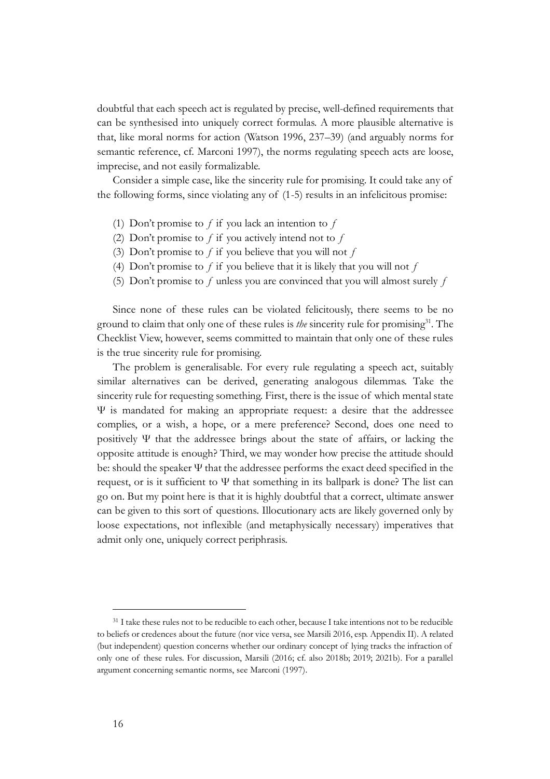doubtful that each speech act is regulated by precise, well-defined requirements that can be synthesised into uniquely correct formulas. A more plausible alternative is that, like moral norms for action (Watson 1996, 237–39) (and arguably norms for semantic reference, cf. Marconi 1997), the norms regulating speech acts are loose, imprecise, and not easily formalizable.

Consider a simple case, like the sincerity rule for promising. It could take any of the following forms, since violating any of (1-5) results in an infelicitous promise:

- (1) Don't promise to  $f$  if you lack an intention to  $f$
- (2) Don't promise to  $f$  if you actively intend not to  $f$
- (3) Don't promise to  $f$  if you believe that you will not  $f$
- (4) Don't promise to  $f$  if you believe that it is likely that you will not  $f$
- (5) Don't promise to  $f$  unless you are convinced that you will almost surely  $f$

Since none of these rules can be violated felicitously, there seems to be no ground to claim that only one of these rules is *the* sincerity rule for promising<sup>31</sup>. The Checklist View, however, seems committed to maintain that only one of these rules is the true sincerity rule for promising.

The problem is generalisable. For every rule regulating a speech act, suitably similar alternatives can be derived, generating analogous dilemmas. Take the sincerity rule for requesting something. First, there is the issue of which mental state Ψ is mandated for making an appropriate request: a desire that the addressee complies, or a wish, a hope, or a mere preference? Second, does one need to positively Ψ that the addressee brings about the state of affairs, or lacking the opposite attitude is enough? Third, we may wonder how precise the attitude should be: should the speaker  $\Psi$  that the addressee performs the exact deed specified in the request, or is it sufficient to  $\Psi$  that something in its ballpark is done? The list can go on. But my point here is that it is highly doubtful that a correct, ultimate answer can be given to this sort of questions. Illocutionary acts are likely governed only by loose expectations, not inflexible (and metaphysically necessary) imperatives that admit only one, uniquely correct periphrasis.

<sup>&</sup>lt;sup>31</sup> I take these rules not to be reducible to each other, because I take intentions not to be reducible to beliefs or credences about the future (nor vice versa, see Marsili 2016, esp. Appendix II). A related (but independent) question concerns whether our ordinary concept of lying tracks the infraction of only one of these rules. For discussion, Marsili (2016; cf. also 2018b; 2019; 2021b). For a parallel argument concerning semantic norms, see Marconi (1997).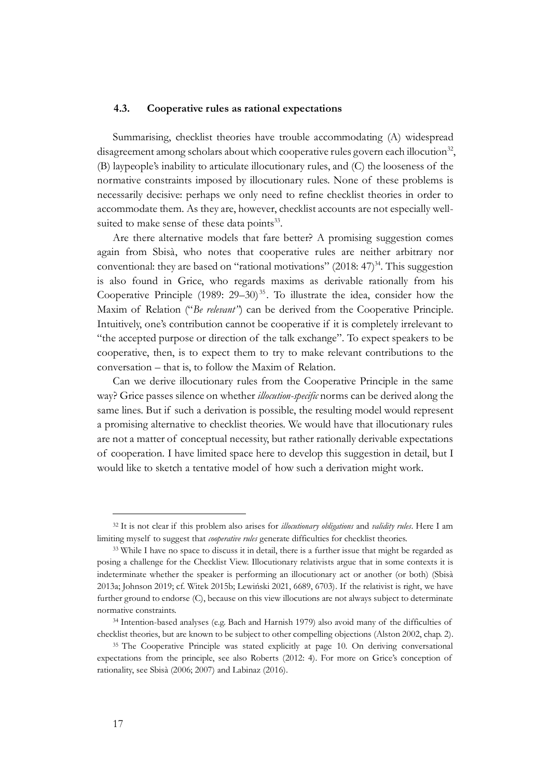#### **4.3. Cooperative rules as rational expectations**

Summarising, checklist theories have trouble accommodating (A) widespread disagreement among scholars about which cooperative rules govern each illocution<sup>32</sup>, (B) laypeople's inability to articulate illocutionary rules, and (C) the looseness of the normative constraints imposed by illocutionary rules. None of these problems is necessarily decisive: perhaps we only need to refine checklist theories in order to accommodate them. As they are, however, checklist accounts are not especially wellsuited to make sense of these data points<sup>33</sup>.

Are there alternative models that fare better? A promising suggestion comes again from Sbisà, who notes that cooperative rules are neither arbitrary nor conventional: they are based on "rational motivations"  $(2018: 47)^{34}$ . This suggestion is also found in Grice, who regards maxims as derivable rationally from his Cooperative Principle  $(1989: 29-30)^{35}$ . To illustrate the idea, consider how the Maxim of Relation ("*Be relevant*") can be derived from the Cooperative Principle. Intuitively, one's contribution cannot be cooperative if it is completely irrelevant to "the accepted purpose or direction of the talk exchange". To expect speakers to be cooperative, then, is to expect them to try to make relevant contributions to the conversation – that is, to follow the Maxim of Relation.

Can we derive illocutionary rules from the Cooperative Principle in the same way? Grice passes silence on whether *illocution-specific* norms can be derived along the same lines. But if such a derivation is possible, the resulting model would represent a promising alternative to checklist theories. We would have that illocutionary rules are not a matter of conceptual necessity, but rather rationally derivable expectations of cooperation. I have limited space here to develop this suggestion in detail, but I would like to sketch a tentative model of how such a derivation might work.

<sup>32</sup> It is not clear if this problem also arises for *illocutionary obligations* and *validity rules*. Here I am limiting myself to suggest that *cooperative rules* generate difficulties for checklist theories.

<sup>33</sup> While I have no space to discuss it in detail, there is a further issue that might be regarded as posing a challenge for the Checklist View. Illocutionary relativists argue that in some contexts it is indeterminate whether the speaker is performing an illocutionary act or another (or both) (Sbisà 2013a; Johnson 2019; cf. Witek 2015b; Lewiński 2021, 6689, 6703). If the relativist is right, we have further ground to endorse (C), because on this view illocutions are not always subject to determinate normative constraints.

<sup>34</sup> Intention-based analyses (e.g. Bach and Harnish 1979) also avoid many of the difficulties of checklist theories, but are known to be subject to other compelling objections (Alston 2002, chap. 2).

<sup>&</sup>lt;sup>35</sup> The Cooperative Principle was stated explicitly at page 10. On deriving conversational expectations from the principle, see also Roberts (2012: 4). For more on Grice's conception of rationality, see Sbisà (2006; 2007) and Labinaz (2016).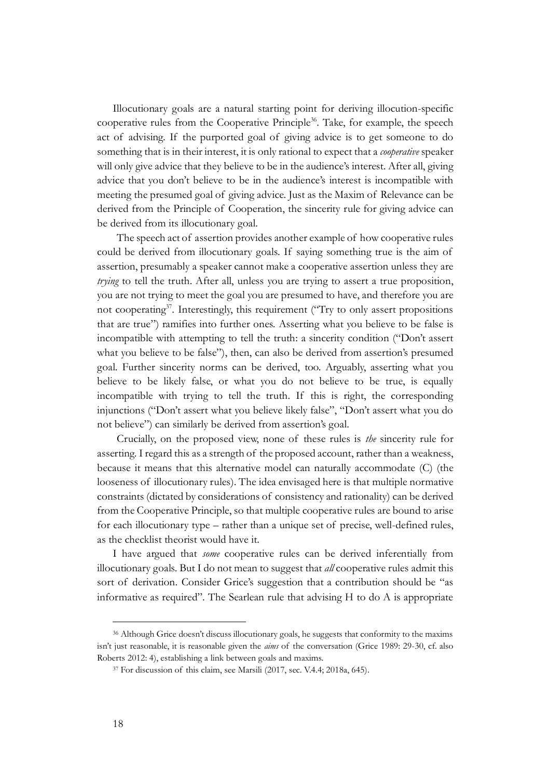Illocutionary goals are a natural starting point for deriving illocution-specific cooperative rules from the Cooperative Principle<sup>36</sup>. Take, for example, the speech act of advising. If the purported goal of giving advice is to get someone to do something that is in their interest, it is only rational to expect that a *cooperative* speaker will only give advice that they believe to be in the audience's interest. After all, giving advice that you don't believe to be in the audience's interest is incompatible with meeting the presumed goal of giving advice. Just as the Maxim of Relevance can be derived from the Principle of Cooperation, the sincerity rule for giving advice can be derived from its illocutionary goal.

The speech act of assertion provides another example of how cooperative rules could be derived from illocutionary goals. If saying something true is the aim of assertion, presumably a speaker cannot make a cooperative assertion unless they are *trying* to tell the truth. After all, unless you are trying to assert a true proposition, you are not trying to meet the goal you are presumed to have, and therefore you are not cooperating<sup>37</sup>. Interestingly, this requirement ("Try to only assert propositions that are true") ramifies into further ones. Asserting what you believe to be false is incompatible with attempting to tell the truth: a sincerity condition ("Don't assert what you believe to be false"), then, can also be derived from assertion's presumed goal. Further sincerity norms can be derived, too. Arguably, asserting what you believe to be likely false, or what you do not believe to be true, is equally incompatible with trying to tell the truth. If this is right, the corresponding injunctions ("Don't assert what you believe likely false", "Don't assert what you do not believe") can similarly be derived from assertion's goal.

Crucially, on the proposed view, none of these rules is *the* sincerity rule for asserting. I regard this as a strength of the proposed account, rather than a weakness, because it means that this alternative model can naturally accommodate (C) (the looseness of illocutionary rules). The idea envisaged here is that multiple normative constraints (dictated by considerations of consistency and rationality) can be derived from the Cooperative Principle, so that multiple cooperative rules are bound to arise for each illocutionary type – rather than a unique set of precise, well-defined rules, as the checklist theorist would have it.

I have argued that *some* cooperative rules can be derived inferentially from illocutionary goals. But I do not mean to suggest that *all* cooperative rules admit this sort of derivation. Consider Grice's suggestion that a contribution should be "as informative as required". The Searlean rule that advising H to do A is appropriate

<sup>36</sup> Although Grice doesn't discuss illocutionary goals, he suggests that conformity to the maxims isn't just reasonable, it is reasonable given the *aims* of the conversation (Grice 1989: 29-30, cf. also Roberts 2012: 4), establishing a link between goals and maxims.

<sup>&</sup>lt;sup>37</sup> For discussion of this claim, see Marsili (2017, sec. V.4.4; 2018a, 645).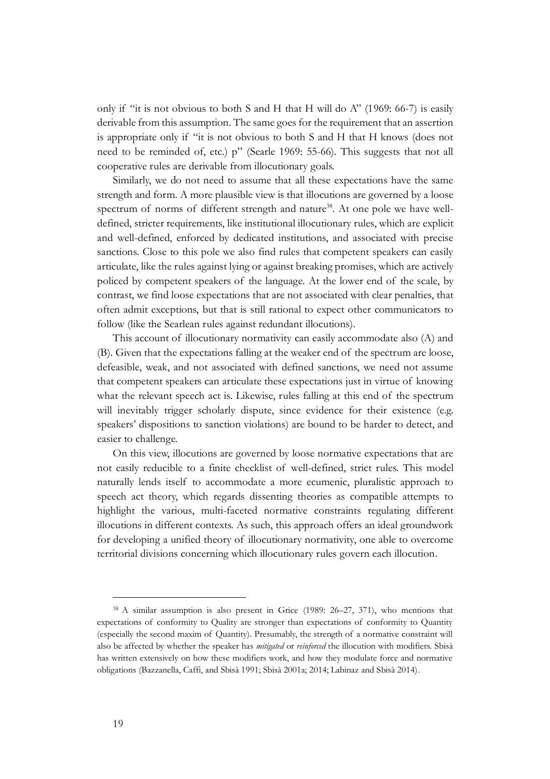only if "it is not obvious to both S and H that H will do  $A$ " (1969: 66-7) is easily derivable from this assumption. The same goes for the requirement that an assertion is appropriate only if "it is not obvious to both S and H that H knows (does not need to be reminded of, etc.) p" (Searle 1969: 55-66). This suggests that not all cooperative rules are derivable from illocutionary goals.

Similarly, we do not need to assume that all these expectations have the same strength and form. A more plausible view is that illocutions are governed by a loose spectrum of norms of different strength and nature<sup>38</sup>. At one pole we have welldefined, stricter requirements, like institutional illocutionary rules, which are explicit and well-defined, enforced by dedicated institutions, and associated with precise sanctions. Close to this pole we also find rules that competent speakers can easily articulate, like the rules against lying or against breaking promises, which are actively policed by competent speakers of the language. At the lower end of the scale, by contrast, we find loose expectations that are not associated with clear penalties, that often admit exceptions, but that is still rational to expect other communicators to follow (like the Searlean rules against redundant illocutions).

This account of illocutionary normativity can easily accommodate also (A) and (B). Given that the expectations falling at the weaker end of the spectrum are loose, defeasible, weak, and not associated with defined sanctions, we need not assume that competent speakers can articulate these expectations just in virtue of knowing what the relevant speech act is. Likewise, rules falling at this end of the spectrum will inevitably trigger scholarly dispute, since evidence for their existence (e.g. speakers' dispositions to sanction violations) are bound to be harder to detect, and easier to challenge.

On this view, illocutions are governed by loose normative expectations that are not easily reducible to a finite checklist of well-defined, strict rules. This model naturally lends itself to accommodate a more ecumenic, pluralistic approach to speech act theory, which regards dissenting theories as compatible attempts to highlight the various, multi-faceted normative constraints regulating different illocutions in different contexts. As such, this approach offers an ideal groundwork for developing a unified theory of illocutionary normativity, one able to overcome territorial divisions concerning which illocutionary rules govern each illocution.

<sup>38</sup> A similar assumption is also present in Grice (1989: 26–27, 371), who mentions that expectations of conformity to Quality are stronger than expectations of conformity to Quantity (especially the second maxim of Quantity). Presumably, the strength of a normative constraint will also be affected by whether the speaker has *mitigated* or *reinforced* the illocution with modifiers. Sbisà has written extensively on how these modifiers work, and how they modulate force and normative obligations (Bazzanella, Caffi, and Sbisà 1991; Sbisà 2001a; 2014; Labinaz and Sbisà 2014).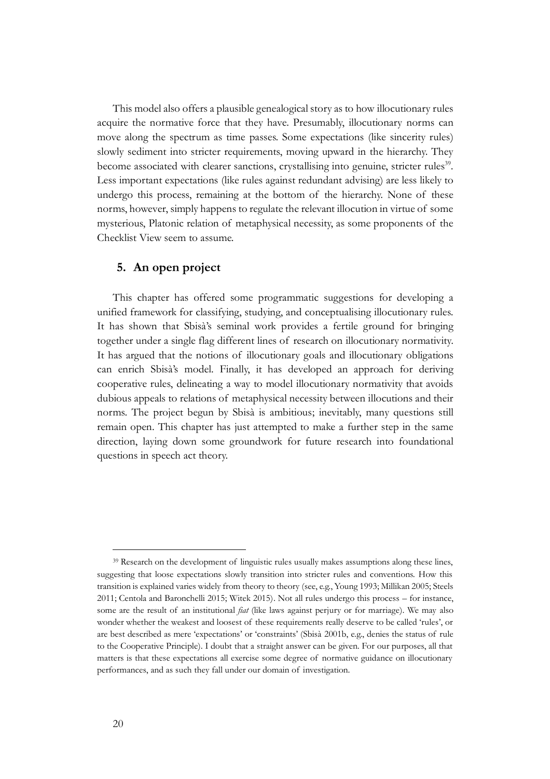This model also offers a plausible genealogical story as to how illocutionary rules acquire the normative force that they have. Presumably, illocutionary norms can move along the spectrum as time passes. Some expectations (like sincerity rules) slowly sediment into stricter requirements, moving upward in the hierarchy. They become associated with clearer sanctions, crystallising into genuine, stricter rules<sup>39</sup>. Less important expectations (like rules against redundant advising) are less likely to undergo this process, remaining at the bottom of the hierarchy. None of these norms, however, simply happens to regulate the relevant illocution in virtue of some mysterious, Platonic relation of metaphysical necessity, as some proponents of the Checklist View seem to assume.

# **5. An open project**

This chapter has offered some programmatic suggestions for developing a unified framework for classifying, studying, and conceptualising illocutionary rules. It has shown that Sbisà's seminal work provides a fertile ground for bringing together under a single flag different lines of research on illocutionary normativity. It has argued that the notions of illocutionary goals and illocutionary obligations can enrich Sbisà's model. Finally, it has developed an approach for deriving cooperative rules, delineating a way to model illocutionary normativity that avoids dubious appeals to relations of metaphysical necessity between illocutions and their norms. The project begun by Sbisà is ambitious; inevitably, many questions still remain open. This chapter has just attempted to make a further step in the same direction, laying down some groundwork for future research into foundational questions in speech act theory.

<sup>&</sup>lt;sup>39</sup> Research on the development of linguistic rules usually makes assumptions along these lines, suggesting that loose expectations slowly transition into stricter rules and conventions. How this transition is explained varies widely from theory to theory (see, e.g., Young 1993; Millikan 2005; Steels 2011; Centola and Baronchelli 2015; Witek 2015). Not all rules undergo this process – for instance, some are the result of an institutional *fiat* (like laws against perjury or for marriage). We may also wonder whether the weakest and loosest of these requirements really deserve to be called 'rules', or are best described as mere 'expectations' or 'constraints' (Sbisà 2001b, e.g., denies the status of rule to the Cooperative Principle). I doubt that a straight answer can be given. For our purposes, all that matters is that these expectations all exercise some degree of normative guidance on illocutionary performances, and as such they fall under our domain of investigation.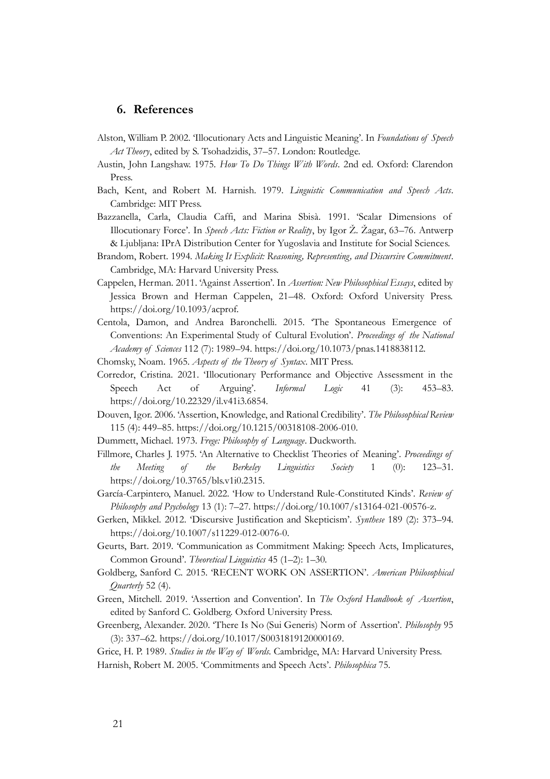# **6. References**

- Alston, William P. 2002. 'Illocutionary Acts and Linguistic Meaning'. In *Foundations of Speech Act Theory*, edited by S. Tsohadzidis, 37–57. London: Routledge.
- Austin, John Langshaw. 1975. *How To Do Things With Words*. 2nd ed. Oxford: Clarendon Press.
- Bach, Kent, and Robert M. Harnish. 1979. *Linguistic Communication and Speech Acts*. Cambridge: MIT Press.
- Bazzanella, Carla, Claudia Caffi, and Marina Sbisà. 1991. 'Scalar Dimensions of Illocutionary Force'. In *Speech Acts: Fiction or Reality*, by Igor Ž. Žagar, 63–76. Antwerp & Ljubljana: IPrA Distribution Center for Yugoslavia and Institute for Social Sciences.
- Brandom, Robert. 1994. *Making It Explicit: Reasoning, Representing, and Discursive Commitment*. Cambridge, MA: Harvard University Press.
- Cappelen, Herman. 2011. 'Against Assertion'. In *Assertion: New Philosophical Essays*, edited by Jessica Brown and Herman Cappelen, 21–48. Oxford: Oxford University Press. https://doi.org/10.1093/acprof.
- Centola, Damon, and Andrea Baronchelli. 2015. 'The Spontaneous Emergence of Conventions: An Experimental Study of Cultural Evolution'. *Proceedings of the National Academy of Sciences* 112 (7): 1989–94. https://doi.org/10.1073/pnas.1418838112.
- Chomsky, Noam. 1965. *Aspects of the Theory of Syntax*. MIT Press.
- Corredor, Cristina. 2021. 'Illocutionary Performance and Objective Assessment in the Speech Act of Arguing'. *Informal Logic* 41 (3): 453–83. https://doi.org/10.22329/il.v41i3.6854.
- Douven, Igor. 2006. 'Assertion, Knowledge, and Rational Credibility'. *The Philosophical Review* 115 (4): 449–85. https://doi.org/10.1215/00318108-2006-010.
- Dummett, Michael. 1973. *Frege: Philosophy of Language*. Duckworth.
- Fillmore, Charles J. 1975. 'An Alternative to Checklist Theories of Meaning'. *Proceedings of the Meeting of the Berkeley Linguistics Society* 1 (0): 123–31. https://doi.org/10.3765/bls.v1i0.2315.
- García-Carpintero, Manuel. 2022. 'How to Understand Rule-Constituted Kinds'. *Review of Philosophy and Psychology* 13 (1): 7–27. https://doi.org/10.1007/s13164-021-00576-z.
- Gerken, Mikkel. 2012. 'Discursive Justification and Skepticism'. *Synthese* 189 (2): 373–94. https://doi.org/10.1007/s11229-012-0076-0.
- Geurts, Bart. 2019. 'Communication as Commitment Making: Speech Acts, Implicatures, Common Ground'. *Theoretical Linguistics* 45 (1–2): 1–30.
- Goldberg, Sanford C. 2015. 'RECENT WORK ON ASSERTION'. *American Philosophical Quarterly* 52 (4).
- Green, Mitchell. 2019. 'Assertion and Convention'. In *The Oxford Handbook of Assertion*, edited by Sanford C. Goldberg. Oxford University Press.
- Greenberg, Alexander. 2020. 'There Is No (Sui Generis) Norm of Assertion'. *Philosophy* 95 (3): 337–62. https://doi.org/10.1017/S0031819120000169.

Grice, H. P. 1989. *Studies in the Way of Words*. Cambridge, MA: Harvard University Press. Harnish, Robert M. 2005. 'Commitments and Speech Acts'. *Philosophica* 75.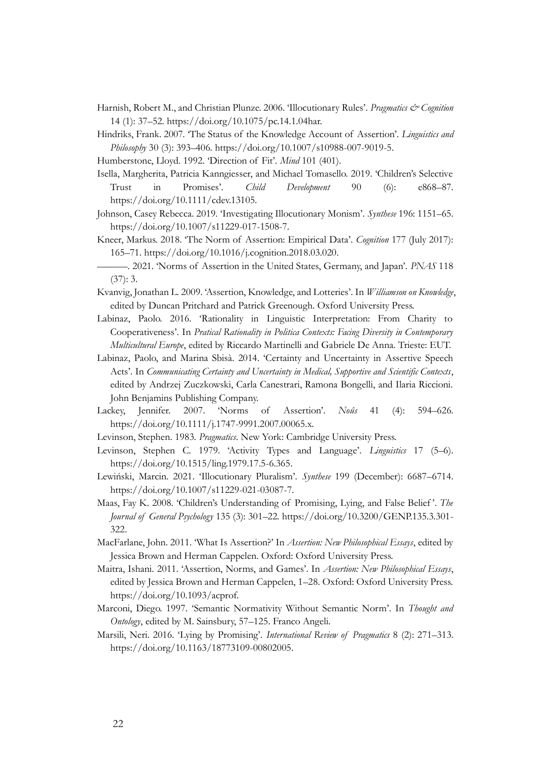- Harnish, Robert M., and Christian Plunze. 2006. 'Illocutionary Rules'. *Pragmatics & Cognition* 14 (1): 37–52. https://doi.org/10.1075/pc.14.1.04har.
- Hindriks, Frank. 2007. 'The Status of the Knowledge Account of Assertion'. *Linguistics and Philosophy* 30 (3): 393–406. https://doi.org/10.1007/s10988-007-9019-5.
- Humberstone, Lloyd. 1992. 'Direction of Fit'. *Mind* 101 (401).
- Isella, Margherita, Patricia Kanngiesser, and Michael Tomasello. 2019. 'Children's Selective Trust in Promises'. *Child Development* 90 (6): e868–87. https://doi.org/10.1111/cdev.13105.
- Johnson, Casey Rebecca. 2019. 'Investigating Illocutionary Monism'. *Synthese* 196: 1151–65. https://doi.org/10.1007/s11229-017-1508-7.
- Kneer, Markus. 2018. 'The Norm of Assertion: Empirical Data'. *Cognition* 177 (July 2017): 165–71. https://doi.org/10.1016/j.cognition.2018.03.020.
- ———. 2021. 'Norms of Assertion in the United States, Germany, and Japan'. *PNAS* 118 (37): 3.
- Kvanvig, Jonathan L. 2009. 'Assertion, Knowledge, and Lotteries'. In *Williamson on Knowledge*, edited by Duncan Pritchard and Patrick Greenough. Oxford University Press.
- Labinaz, Paolo. 2016. 'Rationality in Linguistic Interpretation: From Charity to Cooperativeness'. In *Pratical Rationality in Politica Contexts: Facing Diversity in Contemporary Multicultural Europe*, edited by Riccardo Martinelli and Gabriele De Anna. Trieste: EUT.
- Labinaz, Paolo, and Marina Sbisà. 2014. 'Certainty and Uncertainty in Assertive Speech Acts'. In *Communicating Certainty and Uncertainty in Medical, Supportive and Scientific Contexts*, edited by Andrzej Zuczkowski, Carla Canestrari, Ramona Bongelli, and Ilaria Riccioni. John Benjamins Publishing Company.
- Lackey, Jennifer. 2007. 'Norms of Assertion'. *Noûs* 41 (4): 594–626. https://doi.org/10.1111/j.1747-9991.2007.00065.x.
- Levinson, Stephen. 1983. *Pragmatics*. New York: Cambridge University Press.
- Levinson, Stephen C. 1979. 'Activity Types and Language'. *Linguistics* 17 (5–6). https://doi.org/10.1515/ling.1979.17.5-6.365.
- Lewiński, Marcin. 2021. 'Illocutionary Pluralism'. *Synthese* 199 (December): 6687–6714. https://doi.org/10.1007/s11229-021-03087-7.
- Maas, Fay K. 2008. 'Children's Understanding of Promising, Lying, and False Belief '. *The Journal of General Psychology* 135 (3): 301–22. https://doi.org/10.3200/GENP.135.3.301- 322.
- MacFarlane, John. 2011. 'What Is Assertion?' In *Assertion: New Philosophical Essays*, edited by Jessica Brown and Herman Cappelen. Oxford: Oxford University Press.
- Maitra, Ishani. 2011. 'Assertion, Norms, and Games'. In *Assertion: New Philosophical Essays*, edited by Jessica Brown and Herman Cappelen, 1–28. Oxford: Oxford University Press. https://doi.org/10.1093/acprof.
- Marconi, Diego. 1997. 'Semantic Normativity Without Semantic Norm'. In *Thought and Ontology*, edited by M. Sainsbury, 57–125. Franco Angeli.
- Marsili, Neri. 2016. 'Lying by Promising'. *International Review of Pragmatics* 8 (2): 271–313. https://doi.org/10.1163/18773109-00802005.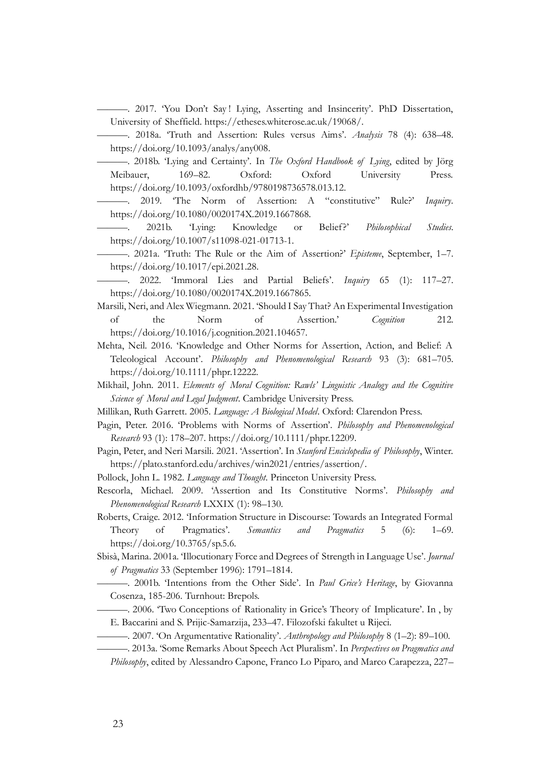———. 2017. 'You Don't Say ! Lying, Asserting and Insincerity'. PhD Dissertation, University of Sheffield. https://etheses.whiterose.ac.uk/19068/.

———. 2018a. 'Truth and Assertion: Rules versus Aims'. *Analysis* 78 (4): 638–48. https://doi.org/10.1093/analys/any008.

———. 2018b. 'Lying and Certainty'. In *The Oxford Handbook of Lying*, edited by Jörg Meibauer, 169–82. Oxford: Oxford University Press. https://doi.org/10.1093/oxfordhb/9780198736578.013.12.

———. 2019. 'The Norm of Assertion: A "constitutive" Rule?' *Inquiry*. https://doi.org/10.1080/0020174X.2019.1667868.

———. 2021b. 'Lying: Knowledge or Belief?' *Philosophical Studies*. https://doi.org/10.1007/s11098-021-01713-1.

———. 2021a. 'Truth: The Rule or the Aim of Assertion?' *Episteme*, September, 1–7. https://doi.org/10.1017/epi.2021.28.

———. 2022. 'Immoral Lies and Partial Beliefs'. *Inquiry* 65 (1): 117–27. https://doi.org/10.1080/0020174X.2019.1667865.

Marsili, Neri, and Alex Wiegmann. 2021. 'Should I Say That? An Experimental Investigation of the Norm of Assertion.' *Cognition* 212. https://doi.org/10.1016/j.cognition.2021.104657.

Mehta, Neil. 2016. 'Knowledge and Other Norms for Assertion, Action, and Belief: A Teleological Account'. *Philosophy and Phenomenological Research* 93 (3): 681–705. https://doi.org/10.1111/phpr.12222.

Mikhail, John. 2011. *Elements of Moral Cognition: Rawls' Linguistic Analogy and the Cognitive Science of Moral and Legal Judgment*. Cambridge University Press.

Millikan, Ruth Garrett. 2005. *Language: A Biological Model*. Oxford: Clarendon Press.

Pagin, Peter. 2016. 'Problems with Norms of Assertion'. *Philosophy and Phenomenological Research* 93 (1): 178–207. https://doi.org/10.1111/phpr.12209.

Pagin, Peter, and Neri Marsili. 2021. 'Assertion'. In *Stanford Enciclopedia of Philosophy*, Winter. https://plato.stanford.edu/archives/win2021/entries/assertion/.

Pollock, John L. 1982. *Language and Thought*. Princeton University Press.

Rescorla, Michael. 2009. 'Assertion and Its Constitutive Norms'. *Philosophy and Phenomenological Research* LXXIX (1): 98–130.

Roberts, Craige. 2012. 'Information Structure in Discourse: Towards an Integrated Formal Theory of Pragmatics'. *Semantics and Pragmatics* 5 (6): 1–69. https://doi.org/10.3765/sp.5.6.

Sbisà, Marina. 2001a. 'Illocutionary Force and Degrees of Strength in Language Use'. *Journal of Pragmatics* 33 (September 1996): 1791–1814.

———. 2001b. 'Intentions from the Other Side'. In *Paul Grice's Heritage*, by Giovanna Cosenza, 185-206. Turnhout: Brepols.

———. 2006. 'Two Conceptions of Rationality in Grice's Theory of Implicature'. In , by E. Baccarini and S. Prijic-Samarzija, 233–47. Filozofski fakultet u Rijeci.

———. 2007. 'On Argumentative Rationality'. *Anthropology and Philosophy* 8 (1–2): 89–100.

———. 2013a. 'Some Remarks About Speech Act Pluralism'. In *Perspectives on Pragmatics and Philosophy*, edited by Alessandro Capone, Franco Lo Piparo, and Marco Carapezza, 227–